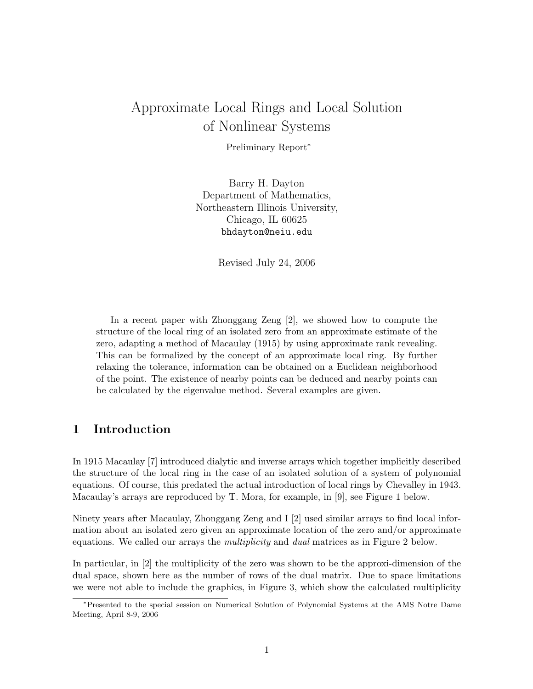# Approximate Local Rings and Local Solution of Nonlinear Systems

Preliminary Report<sup>∗</sup>

Barry H. Dayton Department of Mathematics, Northeastern Illinois University, Chicago, IL 60625 bhdayton@neiu.edu

Revised July 24, 2006

In a recent paper with Zhonggang Zeng [2], we showed how to compute the structure of the local ring of an isolated zero from an approximate estimate of the zero, adapting a method of Macaulay (1915) by using approximate rank revealing. This can be formalized by the concept of an approximate local ring. By further relaxing the tolerance, information can be obtained on a Euclidean neighborhood of the point. The existence of nearby points can be deduced and nearby points can be calculated by the eigenvalue method. Several examples are given.

## 1 Introduction

In 1915 Macaulay [7] introduced dialytic and inverse arrays which together implicitly described the structure of the local ring in the case of an isolated solution of a system of polynomial equations. Of course, this predated the actual introduction of local rings by Chevalley in 1943. Macaulay's arrays are reproduced by T. Mora, for example, in [9], see Figure 1 below.

Ninety years after Macaulay, Zhonggang Zeng and I [2] used similar arrays to find local information about an isolated zero given an approximate location of the zero and/or approximate equations. We called our arrays the *multiplicity* and *dual* matrices as in Figure 2 below.

In particular, in [2] the multiplicity of the zero was shown to be the approxi-dimension of the dual space, shown here as the number of rows of the dual matrix. Due to space limitations we were not able to include the graphics, in Figure 3, which show the calculated multiplicity

<sup>∗</sup>Presented to the special session on Numerical Solution of Polynomial Systems at the AMS Notre Dame Meeting, April 8-9, 2006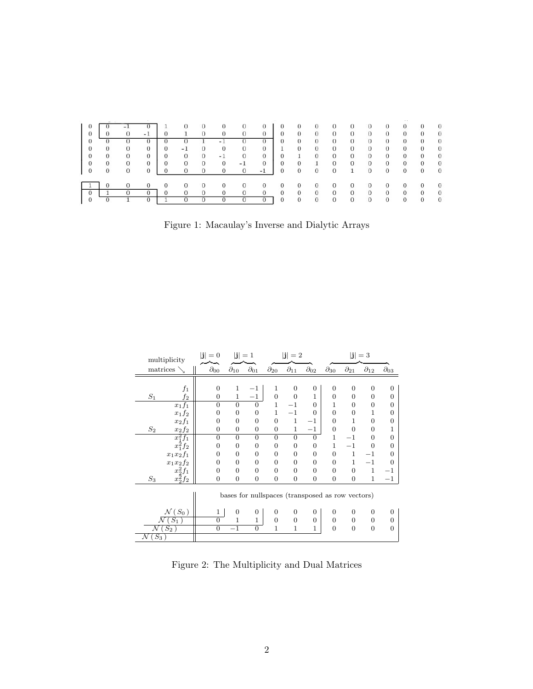|   | the control of the control |              |          |   |      |              |      |          |                |    |              |                |                |              |          |          |              |                |          |
|---|----------------------------|--------------|----------|---|------|--------------|------|----------|----------------|----|--------------|----------------|----------------|--------------|----------|----------|--------------|----------------|----------|
|   |                            |              |          |   |      |              |      |          |                |    | O            | O              |                |              |          |          |              | O              | $\Omega$ |
| 0 |                            |              | $-1$     |   |      | $\Omega$     |      |          |                |    | 0            | 0              | $\mathbf{0}$   |              |          | 0        | 0            | 0              | $\Omega$ |
|   |                            |              |          |   |      |              | $-1$ |          |                | 0  | $\Omega$     | 0              | $\theta$       | $\theta$     | $\Omega$ | 0        | $\Omega$     | $\Omega$       | $\Omega$ |
|   |                            | $\mathbf{0}$ | 0        | 0 | $-1$ | $\Omega$     | 0    | 0        | 0              | Ŧ. | $\mathbf{0}$ | $\mathbf{0}$   | $\theta$       | $\mathbf{0}$ | 0        | $\sigma$ | $\mathbf{0}$ | 0              | $\Omega$ |
|   |                            | $\Omega$     | 0        | 0 |      | $\theta$     | $-1$ | $\Omega$ | 0              | 0  |              | $\theta$       | $\theta$       | $\theta$     | 0        | 0        | $\Omega$     | $\Omega$       | $\Omega$ |
|   |                            | $\Omega$     | 0        | 0 | 0    | $\mathbf{0}$ | 0    | $-1$     | $\Omega$       | 0  | 0            |                | $\overline{0}$ | $\mathbf{0}$ | 0        | $\sigma$ | $\mathbf{0}$ | $\overline{0}$ | $\Omega$ |
|   | 0                          | $\Omega$     | $\Omega$ | 0 |      |              |      | 0        | $-1$           | 0  | $\Omega$     | $\overline{0}$ | $\theta$       | $\mathbf{1}$ | $\Omega$ | $\Omega$ | $\Omega$     | $\Omega$       | $\Omega$ |
|   |                            |              |          |   |      |              |      |          |                |    | U            | U              | Ü              |              |          | U        | U            | 0              | $\theta$ |
|   |                            |              |          |   |      |              |      |          | $\overline{0}$ | 0  | $\Omega$     | $\overline{0}$ | $\overline{0}$ | $\Omega$     | 0        | 0        | $\Omega$     | 0              | $\Omega$ |
|   |                            |              |          |   |      |              |      |          |                |    | 0            | 0              | $\Omega$       |              |          |          |              |                |          |

Figure 1: Macaulay's Inverse and Dialytic Arrays

| multiplicity       |                  | $ \mathbf{j} =1$<br>$ \mathbf{j} =0$ |                 |                  | $ \mathbf{j} =2$                                 |                             | $ \mathbf{j} =3$ |                 |                 |                 |                 |
|--------------------|------------------|--------------------------------------|-----------------|------------------|--------------------------------------------------|-----------------------------|------------------|-----------------|-----------------|-----------------|-----------------|
|                    | matrices         |                                      | $\partial_{10}$ | $\partial_{01}$  | $\partial_{20}$                                  | $\partial_{1\underline{1}}$ | $\partial_{02}$  | $\partial_{30}$ | $\partial_{21}$ | $\partial_{12}$ | $\partial_{03}$ |
|                    |                  |                                      |                 |                  |                                                  |                             |                  |                 |                 |                 |                 |
|                    | $f_1$            | $\mathbf{0}$                         | 1               | $-1$             | 1                                                | $\overline{0}$              | $\boldsymbol{0}$ | $\overline{0}$  | $\overline{0}$  | 0               | $\mathbf{0}$    |
| $\mathcal{S}_1$    | f <sub>2</sub>   | $\overline{0}$                       | $\mathbf{1}$    | $-1$             | $\overline{0}$                                   | $\Omega$                    | $\mathbf{1}$     | $\Omega$        | $\Omega$        | $\overline{0}$  | $\overline{0}$  |
|                    | $x_1f_1$         | $\overline{0}$                       | $\overline{0}$  | $\overline{0}$   | 1                                                | $^{\rm -1}$                 | $\Omega$         | 1               | 0               | 0               | $\mathbf{0}$    |
|                    | $x_1f_2$         | 0                                    | $\overline{0}$  | $\overline{0}$   | $\mathbf{1}$                                     | $^{-1}$                     | $\Omega$         | $\overline{0}$  | $\overline{0}$  | 1               | $\mathbf{0}$    |
|                    | $x_2f_1$         | $\overline{0}$                       | $\Omega$        | $\overline{0}$   | $\overline{0}$                                   | $\mathbf{1}$                | $-1$             | $\Omega$        |                 | $\Omega$        | $\mathbf{0}$    |
| $S_2$              | $x_2f_2$         | $\overline{0}$                       | $\overline{0}$  | $\overline{0}$   | $\overline{0}$                                   | $\mathbf{1}$                | $-1$             | $\overline{0}$  | $\Omega$        | $\Omega$        | 1               |
|                    | $x_1^2f_1$       | $\overline{0}$                       | $\theta$        | $\Omega$         | $\Omega$                                         | $\overline{0}$              | $\overline{0}$   | $\mathbf{1}$    | $^{-1}$         | 0               | $\overline{0}$  |
|                    | $x_1^2f_2$       | 0                                    | $\overline{0}$  | $\overline{0}$   | 0                                                | $\overline{0}$              | $\overline{0}$   | $\mathbf 1$     | $^{-1}$         | 0               | $\overline{0}$  |
|                    | $x_1x_2f_1$      | $\overline{0}$                       | $\Omega$        | $\overline{0}$   | 0                                                | $\overline{0}$              | $\overline{0}$   | $\overline{0}$  | 1               | $^{-1}$         | $\overline{0}$  |
|                    | $x_1x_2f_2$      | $\Omega$                             | $\Omega$        | $\Omega$         | $\Omega$                                         | $\Omega$                    | $\Omega$         | $\Omega$        | 1               | $^{-1}$         | $\overline{0}$  |
|                    | $x_2^2f_1$       | $\overline{0}$                       | $\overline{0}$  | $\overline{0}$   | 0                                                | $\overline{0}$              | $\overline{0}$   | $\overline{0}$  | $\overline{0}$  | $\mathbf{1}$    |                 |
| $S_3$              | $x_2^2f_2$       | $\overline{0}$                       | $\overline{0}$  | $\overline{0}$   | $\boldsymbol{0}$                                 | $\overline{0}$              | $\overline{0}$   | $\overline{0}$  | $\overline{0}$  | $\mathbf{1}$    | $^{-1}$         |
|                    |                  |                                      |                 |                  | bases for nullspaces (transposed as row vectors) |                             |                  |                 |                 |                 |                 |
| $\mathcal{N}(S_0)$ |                  | 1                                    | $\overline{0}$  | $\boldsymbol{0}$ | 0                                                | $\overline{0}$              | $\theta$         | $\overline{0}$  | $\overline{0}$  | $\overline{0}$  | $\mathbf{0}$    |
|                    | $\overline{S_1}$ | $\overline{0}$                       | 1               | $\mathbf{1}$     | $\overline{0}$                                   | $\overline{0}$              | $\overline{0}$   | $\overline{0}$  | $\overline{0}$  | $\overline{0}$  | $\overline{0}$  |
| N                  | $S_2$            | $\overline{0}$                       | $-1$            | $\overline{0}$   | 1                                                | $\mathbf{1}$                | $\mathbf{1}$     | $\overline{0}$  | $\overline{0}$  | $\overline{0}$  | $\overline{0}$  |
| $(S_3)$<br>N       |                  |                                      |                 |                  |                                                  |                             |                  |                 |                 |                 |                 |

Figure 2: The Multiplicity and Dual Matrices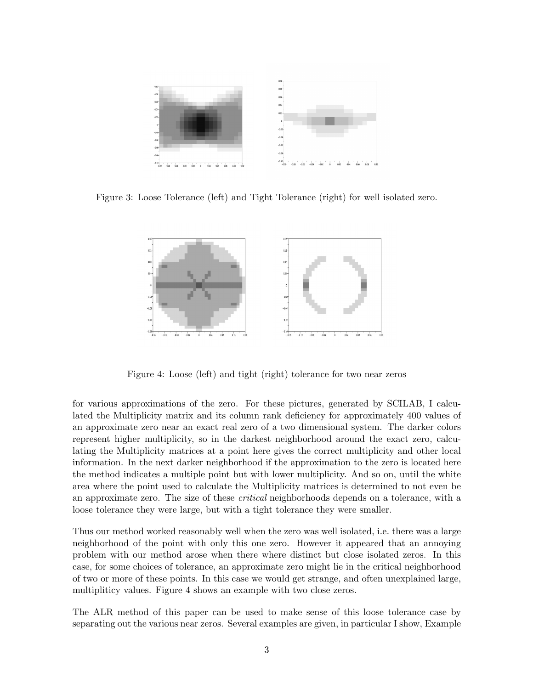

Figure 3: Loose Tolerance (left) and Tight Tolerance (right) for well isolated zero.



Figure 4: Loose (left) and tight (right) tolerance for two near zeros

for various approximations of the zero. For these pictures, generated by SCILAB, I calculated the Multiplicity matrix and its column rank deficiency for approximately 400 values of an approximate zero near an exact real zero of a two dimensional system. The darker colors represent higher multiplicity, so in the darkest neighborhood around the exact zero, calculating the Multiplicity matrices at a point here gives the correct multiplicity and other local information. In the next darker neighborhood if the approximation to the zero is located here the method indicates a multiple point but with lower multiplicity. And so on, until the white area where the point used to calculate the Multiplicity matrices is determined to not even be an approximate zero. The size of these *critical* neighborhoods depends on a tolerance, with a loose tolerance they were large, but with a tight tolerance they were smaller.

Thus our method worked reasonably well when the zero was well isolated, i.e. there was a large neighborhood of the point with only this one zero. However it appeared that an annoying problem with our method arose when there where distinct but close isolated zeros. In this case, for some choices of tolerance, an approximate zero might lie in the critical neighborhood of two or more of these points. In this case we would get strange, and often unexplained large, multipliticy values. Figure 4 shows an example with two close zeros.

The ALR method of this paper can be used to make sense of this loose tolerance case by separating out the various near zeros. Several examples are given, in particular I show, Example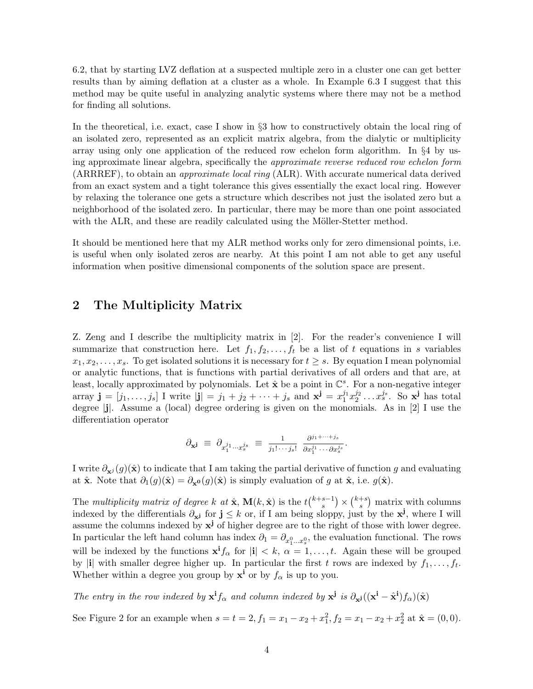6.2, that by starting LVZ deflation at a suspected multiple zero in a cluster one can get better results than by aiming deflation at a cluster as a whole. In Example 6.3 I suggest that this method may be quite useful in analyzing analytic systems where there may not be a method for finding all solutions.

In the theoretical, i.e. exact, case I show in §3 how to constructively obtain the local ring of an isolated zero, represented as an explicit matrix algebra, from the dialytic or multiplicity array using only one application of the reduced row echelon form algorithm. In §4 by using approximate linear algebra, specifically the approximate reverse reduced row echelon form (ARRREF), to obtain an approximate local ring (ALR). With accurate numerical data derived from an exact system and a tight tolerance this gives essentially the exact local ring. However by relaxing the tolerance one gets a structure which describes not just the isolated zero but a neighborhood of the isolated zero. In particular, there may be more than one point associated with the ALR, and these are readily calculated using the Möller-Stetter method.

It should be mentioned here that my ALR method works only for zero dimensional points, i.e. is useful when only isolated zeros are nearby. At this point I am not able to get any useful information when positive dimensional components of the solution space are present.

# 2 The Multiplicity Matrix

Z. Zeng and I describe the multiplicity matrix in [2]. For the reader's convenience I will summarize that construction here. Let  $f_1, f_2, \ldots, f_t$  be a list of t equations in s variables  $x_1, x_2, \ldots, x_s$ . To get isolated solutions it is necessary for  $t \geq s$ . By equation I mean polynomial or analytic functions, that is functions with partial derivatives of all orders and that are, at least, locally approximated by polynomials. Let  $\hat{\mathbf{x}}$  be a point in  $\mathbb{C}^s$ . For a non-negative integer array  $\mathbf{j} = [j_1, \ldots, j_s]$  I write  $|\mathbf{j}| = j_1 + j_2 + \cdots + j_s$  and  $\mathbf{x}^{\mathbf{j}} = x_1^{j_1} x_2^{j_2} \ldots x_s^{j_s}$ . So  $\mathbf{x}^{\mathbf{j}}$  has total degree |j|. Assume a (local) degree ordering is given on the monomials. As in [2] I use the differentiation operator

$$
\partial_{\mathbf{x}^{\mathbf{j}}} \ \equiv \ \partial_{x_1^{j_1} \cdots x_s^{j_s}} \ \equiv \ \frac{1}{j_1! \cdots j_s!} \ \frac{\partial^{j_1 + \cdots + j_s}}{\partial x_1^{j_1} \cdots \partial x_s^{j_s}}.
$$

I write  $\partial_{x}j(g)(\hat{x})$  to indicate that I am taking the partial derivative of function g and evaluating at  $\hat{\mathbf{x}}$ . Note that  $\partial_1(g)(\hat{\mathbf{x}}) = \partial_{\mathbf{x}^0}(g)(\hat{\mathbf{x}})$  is simply evaluation of g at  $\hat{\mathbf{x}}$ , i.e.  $g(\hat{\mathbf{x}})$ .

The multiplicity matrix of degree k at  $\hat{\mathbf{x}}$ ,  $\mathbf{M}(k, \hat{\mathbf{x}})$  is the  $t\binom{k+s-1}{s}$  ${s-1 \choose s} \times {k+s \choose s}$  $s^{+s}$ ) matrix with columns indexed by the differentials  $\partial_{x}$  for  $j \leq k$  or, if I am being sloppy, just by the  $x^j$ , where I will assume the columns indexed by  $x^j$  of higher degree are to the right of those with lower degree. In particular the left hand column has index  $\partial_1 = \partial_{x_1^0...x_s^0}$ , the evaluation functional. The rows will be indexed by the functions  $\mathbf{x}^{\mathbf{i}} f_{\alpha}$  for  $|\mathbf{i}| < k$ ,  $\alpha = 1, \ldots, t$ . Again these will be grouped by |i| with smaller degree higher up. In particular the first t rows are indexed by  $f_1, \ldots, f_t$ . Whether within a degree you group by  $\mathbf{x}^i$  or by  $f_\alpha$  is up to you.

The entry in the row indexed by  $\mathbf{x}^{\mathbf{i}} f_{\alpha}$  and column indexed by  $\mathbf{x}^{\mathbf{j}}$  is  $\partial_{\mathbf{x}^{\mathbf{j}}} ((\mathbf{x}^{\mathbf{i}} - \hat{\mathbf{x}}^{\mathbf{i}}) f_{\alpha})(\hat{\mathbf{x}})$ 

See Figure 2 for an example when  $s = t = 2, f_1 = x_1 - x_2 + x_1^2, f_2 = x_1 - x_2 + x_2^2$  at  $\hat{\mathbf{x}} = (0, 0)$ .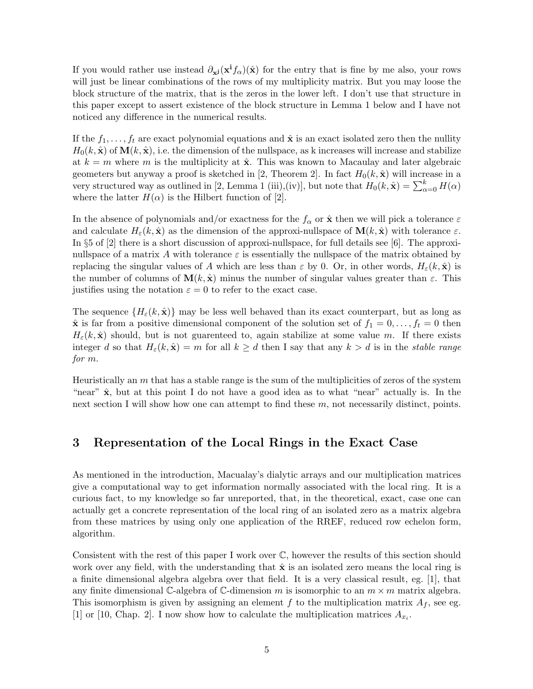If you would rather use instead  $\partial_{x}j(x^{i}f_{\alpha})(\hat{x})$  for the entry that is fine by me also, your rows will just be linear combinations of the rows of my multiplicity matrix. But you may loose the block structure of the matrix, that is the zeros in the lower left. I don't use that structure in this paper except to assert existence of the block structure in Lemma 1 below and I have not noticed any difference in the numerical results.

If the  $f_1, \ldots, f_t$  are exact polynomial equations and  $\hat{\mathbf{x}}$  is an exact isolated zero then the nullity  $H_0(k, \hat{\mathbf{x}})$  of  $\mathbf{M}(k, \hat{\mathbf{x}})$ , i.e. the dimension of the nullspace, as k increases will increase and stabilize at  $k = m$  where m is the multiplicity at  $\hat{\mathbf{x}}$ . This was known to Macaulay and later algebraic geometers but anyway a proof is sketched in [2, Theorem 2]. In fact  $H_0(k, \hat{x})$  will increase in a very structured way as outlined in [2, Lemma 1 (iii),(iv)], but note that  $H_0(k, \hat{\mathbf{x}}) = \sum_{\alpha=0}^k H(\alpha)$ where the latter  $H(\alpha)$  is the Hilbert function of [2].

In the absence of polynomials and/or exactness for the  $f_{\alpha}$  or  $\hat{\mathbf{x}}$  then we will pick a tolerance  $\varepsilon$ and calculate  $H_{\varepsilon}(k, \hat{\mathbf{x}})$  as the dimension of the approxi-nullspace of  $\mathbf{M}(k, \hat{\mathbf{x}})$  with tolerance  $\varepsilon$ . In §5 of [2] there is a short discussion of approxi-nullspace, for full details see [6]. The approxinullspace of a matrix A with tolerance  $\varepsilon$  is essentially the nullspace of the matrix obtained by replacing the singular values of A which are less than  $\varepsilon$  by 0. Or, in other words,  $H_{\varepsilon}(k, \hat{\mathbf{x}})$  is the number of columns of  $\mathbf{M}(k, \hat{\mathbf{x}})$  minus the number of singular values greater than  $\varepsilon$ . This justifies using the notation  $\varepsilon = 0$  to refer to the exact case.

The sequence  $\{H_{\varepsilon}(k,\hat{\mathbf{x}})\}\$  may be less well behaved than its exact counterpart, but as long as  $\hat{\mathbf{x}}$  is far from a positive dimensional component of the solution set of  $f_1 = 0, \ldots, f_t = 0$  then  $H_{\varepsilon}(k, \hat{\mathbf{x}})$  should, but is not guarenteed to, again stabilize at some value m. If there exists integer d so that  $H_{\varepsilon}(k, \hat{\mathbf{x}}) = m$  for all  $k \geq d$  then I say that any  $k > d$  is in the stable range for m.

Heuristically an  $m$  that has a stable range is the sum of the multiplicities of zeros of the system "near"  $\hat{\mathbf{x}}$ , but at this point I do not have a good idea as to what "near" actually is. In the next section I will show how one can attempt to find these  $m$ , not necessarily distinct, points.

### 3 Representation of the Local Rings in the Exact Case

As mentioned in the introduction, Macualay's dialytic arrays and our multiplication matrices give a computational way to get information normally associated with the local ring. It is a curious fact, to my knowledge so far unreported, that, in the theoretical, exact, case one can actually get a concrete representation of the local ring of an isolated zero as a matrix algebra from these matrices by using only one application of the RREF, reduced row echelon form, algorithm.

Consistent with the rest of this paper I work over C, however the results of this section should work over any field, with the understanding that  $\hat{x}$  is an isolated zero means the local ring is a finite dimensional algebra algebra over that field. It is a very classical result, eg. [1], that any finite dimensional C-algebra of C-dimension m is isomorphic to an  $m \times m$  matrix algebra. This isomorphism is given by assigning an element f to the multiplication matrix  $A_f$ , see eg. [1] or [10, Chap. 2]. I now show how to calculate the multiplication matrices  $A_{x_i}$ .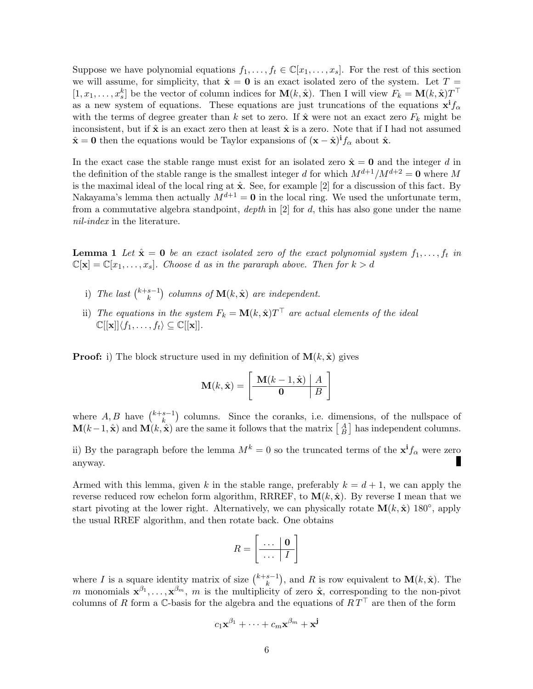Suppose we have polynomial equations  $f_1, \ldots, f_t \in \mathbb{C}[x_1, \ldots, x_s]$ . For the rest of this section we will assume, for simplicity, that  $\hat{\mathbf{x}} = \mathbf{0}$  is an exact isolated zero of the system. Let  $T =$  $[1, x_1, \ldots, x_s^k]$  be the vector of column indices for  $\mathbf{M}(k, \hat{\mathbf{x}})$ . Then I will view  $F_k = \mathbf{M}(k, \hat{\mathbf{x}})T^{\top}$ as a new system of equations. These equations are just truncations of the equations  $x^i f_\alpha$ with the terms of degree greater than k set to zero. If  $\hat{\mathbf{x}}$  were not an exact zero  $F_k$  might be inconsistent, but if  $\hat{\mathbf{x}}$  is an exact zero then at least  $\hat{\mathbf{x}}$  is a zero. Note that if I had not assumed  $\hat{\mathbf{x}} = \mathbf{0}$  then the equations would be Taylor expansions of  $(\mathbf{x} - \hat{\mathbf{x}})^{i} f_{\alpha}$  about  $\hat{\mathbf{x}}$ .

In the exact case the stable range must exist for an isolated zero  $\hat{\mathbf{x}} = \mathbf{0}$  and the integer d in the definition of the stable range is the smallest integer d for which  $M^{d+1}/M^{d+2} = 0$  where M is the maximal ideal of the local ring at  $\hat{\mathbf{x}}$ . See, for example [2] for a discussion of this fact. By Nakayama's lemma then actually  $M^{d+1} = 0$  in the local ring. We used the unfortunate term, from a commutative algebra standpoint,  $depth$  in  $[2]$  for  $d$ , this has also gone under the name nil-index in the literature.

**Lemma 1** Let  $\hat{\mathbf{x}} = \mathbf{0}$  be an exact isolated zero of the exact polynomial system  $f_1, \ldots, f_t$  in  $\mathbb{C}[\mathbf{x}] = \mathbb{C}[x_1, \ldots, x_s]$ . Choose d as in the pararaph above. Then for  $k > d$ 

- i) The last  $\binom{k+s-1}{k}$  ${k-1 \choose k}$  columns of  $\mathbf{M}(k, \hat{\mathbf{x}})$  are independent.
- ii) The equations in the system  $F_k = \mathbf{M}(k, \hat{\mathbf{x}})T^{\top}$  are actual elements of the ideal  $\mathbb{C}[[\mathbf{x}]]\langle f_1, \ldots, f_t\rangle \subseteq \mathbb{C}[[\mathbf{x}]].$

**Proof:** i) The block structure used in my definition of  $\mathbf{M}(k, \hat{\mathbf{x}})$  gives

$$
\mathbf{M}(k, \hat{\mathbf{x}}) = \left[\begin{array}{c|c} \mathbf{M}(k-1, \hat{\mathbf{x}}) & A \\ \hline \mathbf{0} & B \end{array}\right]
$$

where  $A, B$  have  $\binom{k+s-1}{k}$  $\binom{s-1}{k}$  columns. Since the coranks, i.e. dimensions, of the nullspace of  $\mathbf{M}(k-1, \hat{\mathbf{x}})$  and  $\mathbf{M}(k, \hat{\mathbf{x}})$  are the same it follows that the matrix  $\begin{bmatrix} A \\ B \end{bmatrix}$  has independent columns.

ii) By the paragraph before the lemma  $M^k = 0$  so the truncated terms of the  $x^i f_\alpha$  were zero П anyway.

Armed with this lemma, given k in the stable range, preferably  $k = d + 1$ , we can apply the reverse reduced row echelon form algorithm, RRREF, to  $\mathbf{M}(k, \hat{\mathbf{x}})$ . By reverse I mean that we start pivoting at the lower right. Alternatively, we can physically rotate  $\mathbf{M}(k, \hat{\mathbf{x}})$  180<sup>°</sup>, apply the usual RREF algorithm, and then rotate back. One obtains

$$
R = \left[ \begin{array}{c|c} \ldots & \mathbf{0} \\ \hline \ldots & I \end{array} \right]
$$

where I is a square identity matrix of size  $\binom{k+s-1}{k}$  $\binom{s-1}{k}$ , and R is row equivalent to  $\mathbf{M}(k, \hat{\mathbf{x}})$ . The m monomials  $\mathbf{x}^{\beta_1}, \ldots, \mathbf{x}^{\beta_m}$ , m is the multiplicity of zero  $\hat{\mathbf{x}}$ , corresponding to the non-pivot columns of R form a C-basis for the algebra and the equations of  $RT<sup>T</sup>$  are then of the form

$$
c_1\mathbf{x}^{\beta_1}+\cdots+c_m\mathbf{x}^{\beta_m}+\mathbf{x}^{\mathbf{j}}
$$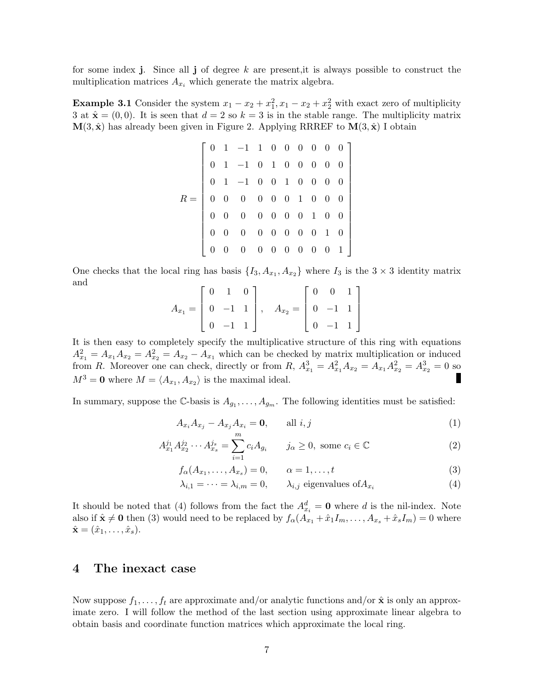for some index j. Since all j of degree  $k$  are present, it is always possible to construct the multiplication matrices  $A_{x_i}$  which generate the matrix algebra.

**Example 3.1** Consider the system  $x_1 - x_2 + x_1^2$ ,  $x_1 - x_2 + x_2^2$  with exact zero of multiplicity 3 at  $\hat{\mathbf{x}} = (0,0)$ . It is seen that  $d = 2$  so  $k = 3$  is in the stable range. The multiplicity matrix  $\mathbf{M}(3, \hat{\mathbf{x}})$  has already been given in Figure 2. Applying RRREF to  $\mathbf{M}(3, \hat{\mathbf{x}})$  I obtain

$$
R = \left[\begin{array}{ccccccc} 0 & 1 & -1 & 1 & 0 & 0 & 0 & 0 & 0 & 0 \\ 0 & 1 & -1 & 0 & 1 & 0 & 0 & 0 & 0 & 0 \\ 0 & 1 & -1 & 0 & 0 & 1 & 0 & 0 & 0 & 0 \\ 0 & 0 & 0 & 0 & 0 & 0 & 1 & 0 & 0 & 0 \\ 0 & 0 & 0 & 0 & 0 & 0 & 0 & 1 & 0 & 0 \\ 0 & 0 & 0 & 0 & 0 & 0 & 0 & 0 & 1 & 0 \\ 0 & 0 & 0 & 0 & 0 & 0 & 0 & 0 & 0 & 1 \end{array}\right]
$$

One checks that the local ring has basis  $\{I_3, A_{x_1}, A_{x_2}\}\$  where  $I_3$  is the  $3 \times 3$  identity matrix and

$$
A_{x_1} = \begin{bmatrix} 0 & 1 & 0 \\ 0 & -1 & 1 \\ 0 & -1 & 1 \end{bmatrix}, \quad A_{x_2} = \begin{bmatrix} 0 & 0 & 1 \\ 0 & -1 & 1 \\ 0 & -1 & 1 \end{bmatrix}
$$

It is then easy to completely specify the multiplicative structure of this ring with equations  $A_{x_1}^2 = A_{x_1}A_{x_2} = A_{x_2}^2 = A_{x_1}$  which can be checked by matrix multiplication or induced from R. Moreover one can check, directly or from R,  $A_{x_1}^3 = A_{x_1}^2 A_{x_2} = A_{x_1} A_{x_2}^2 = A_{x_2}^3 = 0$  so  $M^3 = 0$  where  $M = \langle A_{x_1}, A_{x_2} \rangle$  is the maximal ideal.

In summary, suppose the C-basis is  $A_{g_1}, \ldots, A_{g_m}$ . The following identities must be satisfied:

$$
A_{x_i} A_{x_j} - A_{x_j} A_{x_i} = \mathbf{0}, \qquad \text{all } i, j
$$
 (1)

$$
A_{x_1}^{j_1} A_{x_2}^{j_2} \cdots A_{x_s}^{j_s} = \sum_{i=1}^{m} c_i A_{g_i} \qquad j_\alpha \ge 0, \text{ some } c_i \in \mathbb{C}
$$
 (2)

$$
f_{\alpha}(A_{x_1},\ldots,A_{x_s})=0,\qquad \alpha=1,\ldots,t
$$
\n(3)

$$
\lambda_{i,1} = \dots = \lambda_{i,m} = 0, \qquad \lambda_{i,j} \text{ eigenvalues of } A_{x_i} \tag{4}
$$

It should be noted that (4) follows from the fact the  $A_{x_i}^d = \mathbf{0}$  where d is the nil-index. Note also if  $\hat{\mathbf{x}} \neq \mathbf{0}$  then (3) would need to be replaced by  $f_{\alpha}(A_{x_1} + \hat{x}_1 I_m, \dots, A_{x_s} + \hat{x}_s I_m) = 0$  where  $\hat{\mathbf{x}} = (\hat{x}_1, \dots, \hat{x}_s).$ 

#### 4 The inexact case

Now suppose  $f_1, \ldots, f_t$  are approximate and/or analytic functions and/or  $\hat{\mathbf{x}}$  is only an approximate zero. I will follow the method of the last section using approximate linear algebra to obtain basis and coordinate function matrices which approximate the local ring.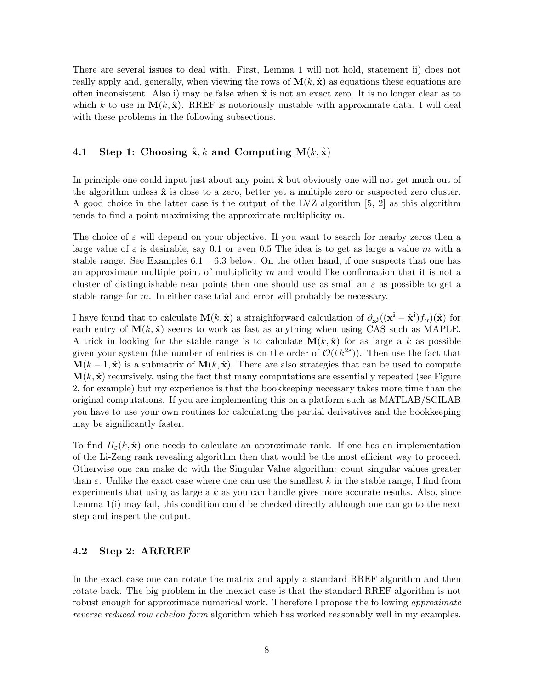There are several issues to deal with. First, Lemma 1 will not hold, statement ii) does not really apply and, generally, when viewing the rows of  $\mathbf{M}(k, \hat{\mathbf{x}})$  as equations these equations are often inconsistent. Also i) may be false when  $\hat{\mathbf{x}}$  is not an exact zero. It is no longer clear as to which k to use in  $\mathbf{M}(k, \hat{\mathbf{x}})$ . RREF is notoriously unstable with approximate data. I will deal with these problems in the following subsections.

#### 4.1 Step 1: Choosing  $\hat{\mathbf{x}}$ , k and Computing  $\mathbf{M}(k, \hat{\mathbf{x}})$

In principle one could input just about any point  $\hat{x}$  but obviously one will not get much out of the algorithm unless  $\hat{x}$  is close to a zero, better yet a multiple zero or suspected zero cluster. A good choice in the latter case is the output of the LVZ algorithm [5, 2] as this algorithm tends to find a point maximizing the approximate multiplicity m.

The choice of  $\varepsilon$  will depend on your objective. If you want to search for nearby zeros then a large value of  $\varepsilon$  is desirable, say 0.1 or even 0.5 The idea is to get as large a value m with a stable range. See Examples  $6.1 - 6.3$  below. On the other hand, if one suspects that one has an approximate multiple point of multiplicity  $m$  and would like confirmation that it is not a cluster of distinguishable near points then one should use as small an  $\varepsilon$  as possible to get a stable range for  $m$ . In either case trial and error will probably be necessary.

I have found that to calculate  $\mathbf{M}(k, \hat{\mathbf{x}})$  a straighforward calculation of  $\partial_{\mathbf{x}^{j}}((\mathbf{x}^{i} - \hat{\mathbf{x}}^{i})f_{\alpha})(\hat{\mathbf{x}})$  for each entry of  $\mathbf{M}(k, \hat{\mathbf{x}})$  seems to work as fast as anything when using CAS such as MAPLE. A trick in looking for the stable range is to calculate  $\mathbf{M}(k, \hat{\mathbf{x}})$  for as large a k as possible given your system (the number of entries is on the order of  $\mathcal{O}(t\,k^{2s})$ ). Then use the fact that  $\mathbf{M}(k-1, \hat{\mathbf{x}})$  is a submatrix of  $\mathbf{M}(k, \hat{\mathbf{x}})$ . There are also strategies that can be used to compute  $\mathbf{M}(k, \hat{\mathbf{x}})$  recursively, using the fact that many computations are essentially repeated (see Figure 2, for example) but my experience is that the bookkeeping necessary takes more time than the original computations. If you are implementing this on a platform such as MATLAB/SCILAB you have to use your own routines for calculating the partial derivatives and the bookkeeping may be significantly faster.

To find  $H_{\varepsilon}(k, \hat{\mathbf{x}})$  one needs to calculate an approximate rank. If one has an implementation of the Li-Zeng rank revealing algorithm then that would be the most efficient way to proceed. Otherwise one can make do with the Singular Value algorithm: count singular values greater than  $\varepsilon$ . Unlike the exact case where one can use the smallest k in the stable range, I find from experiments that using as large a  $k$  as you can handle gives more accurate results. Also, since Lemma 1(i) may fail, this condition could be checked directly although one can go to the next step and inspect the output.

#### 4.2 Step 2: ARRREF

In the exact case one can rotate the matrix and apply a standard RREF algorithm and then rotate back. The big problem in the inexact case is that the standard RREF algorithm is not robust enough for approximate numerical work. Therefore I propose the following *approximate* reverse reduced row echelon form algorithm which has worked reasonably well in my examples.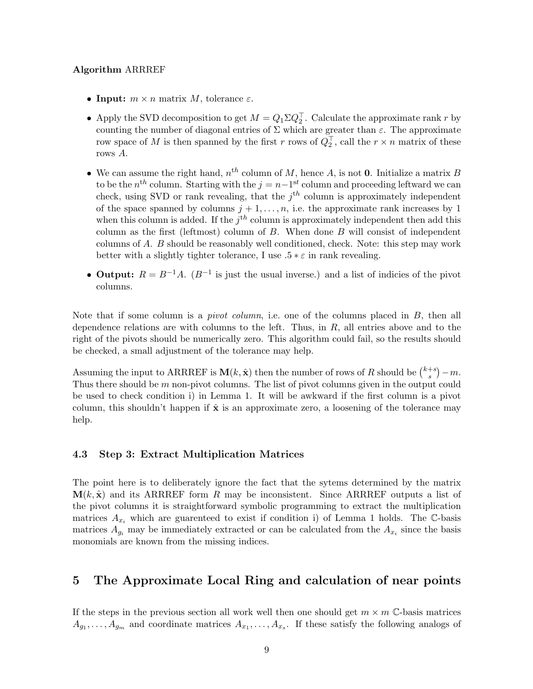#### Algorithm ARRREF

- Input:  $m \times n$  matrix M, tolerance  $\varepsilon$ .
- Apply the SVD decomposition to get  $M = Q_1 \Sigma Q_2^{\top}$ . Calculate the approximate rank r by counting the number of diagonal entries of  $\Sigma$  which are greater than  $\varepsilon$ . The approximate row space of M is then spanned by the first r rows of  $Q_2^{\top}$ , call the  $r \times n$  matrix of these rows A.
- We can assume the right hand,  $n^{th}$  column of M, hence A, is not 0. Initialize a matrix B to be the  $n^{th}$  column. Starting with the  $j = n-1^{st}$  column and proceeding leftward we can check, using SVD or rank revealing, that the  $j<sup>th</sup>$  column is approximately independent of the space spanned by columns  $j + 1, \ldots, n$ , i.e. the approximate rank increases by 1 when this column is added. If the  $j<sup>th</sup>$  column is approximately independent then add this column as the first (leftmost) column of  $B$ . When done  $B$  will consist of independent columns of A. B should be reasonably well conditioned, check. Note: this step may work better with a slightly tighter tolerance, I use  $.5 * \varepsilon$  in rank revealing.
- Output:  $R = B^{-1}A$ .  $(B^{-1}$  is just the usual inverse.) and a list of indicies of the pivot columns.

Note that if some column is a *pivot column*, i.e. one of the columns placed in B, then all dependence relations are with columns to the left. Thus, in  $R$ , all entries above and to the right of the pivots should be numerically zero. This algorithm could fail, so the results should be checked, a small adjustment of the tolerance may help.

Assuming the input to ARRREF is  $\mathbf{M}(k, \hat{\mathbf{x}})$  then the number of rows of R should be  $\binom{k+s}{s}$  ${s+s \choose s} - m.$ Thus there should be  $m$  non-pivot columns. The list of pivot columns given in the output could be used to check condition i) in Lemma 1. It will be awkward if the first column is a pivot column, this shouldn't happen if  $\hat{\mathbf{x}}$  is an approximate zero, a loosening of the tolerance may help.

#### 4.3 Step 3: Extract Multiplication Matrices

The point here is to deliberately ignore the fact that the sytems determined by the matrix  $M(k, \hat{x})$  and its ARRREF form R may be inconsistent. Since ARRREF outputs a list of the pivot columns it is straightforward symbolic programming to extract the multiplication matrices  $A_{x_i}$  which are guarenteed to exist if condition i) of Lemma 1 holds. The C-basis matrices  $A_{g_i}$  may be immediately extracted or can be calculated from the  $A_{x_i}$  since the basis monomials are known from the missing indices.

# 5 The Approximate Local Ring and calculation of near points

If the steps in the previous section all work well then one should get  $m \times m$  C-basis matrices  $A_{g_1}, \ldots, A_{g_m}$  and coordinate matrices  $A_{x_1}, \ldots, A_{x_s}$ . If these satisfy the following analogs of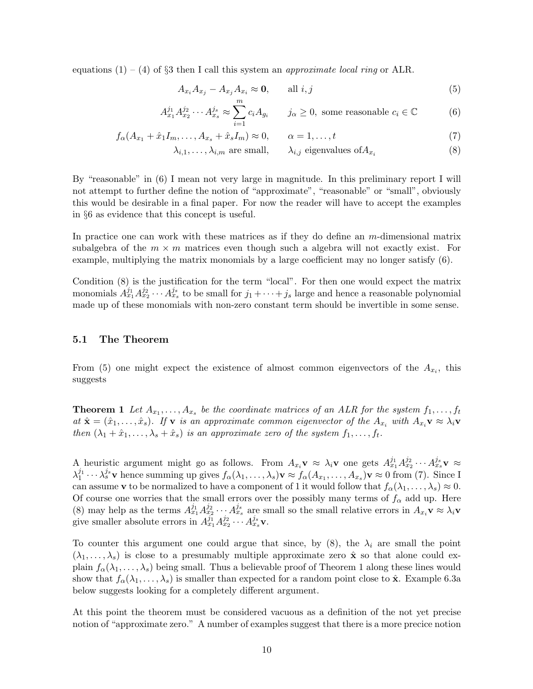equations  $(1) - (4)$  of §3 then I call this system an *approximate local ring* or ALR.

$$
A_{x_i} A_{x_j} - A_{x_j} A_{x_i} \approx \mathbf{0}, \qquad \text{all } i, j \tag{5}
$$

$$
A_{x_1}^{j_1} A_{x_2}^{j_2} \cdots A_{x_s}^{j_s} \approx \sum_{i=1}^m c_i A_{g_i} \qquad j_\alpha \ge 0, \text{ some reasonable } c_i \in \mathbb{C}
$$
 (6)

$$
f_{\alpha}(A_{x_1} + \hat{x}_1 I_m, \dots, A_{x_s} + \hat{x}_s I_m) \approx 0, \qquad \alpha = 1, \dots, t
$$
\n<sup>(7)</sup>

$$
\lambda_{i,1}, \ldots, \lambda_{i,m}
$$
 are small,  $\lambda_{i,j}$  eigenvalues of  $A_{x_i}$  (8)

By "reasonable" in (6) I mean not very large in magnitude. In this preliminary report I will not attempt to further define the notion of "approximate", "reasonable" or "small", obviously this would be desirable in a final paper. For now the reader will have to accept the examples in §6 as evidence that this concept is useful.

In practice one can work with these matrices as if they do define an m-dimensional matrix subalgebra of the  $m \times m$  matrices even though such a algebra will not exactly exist. For example, multiplying the matrix monomials by a large coefficient may no longer satisfy (6).

Condition (8) is the justification for the term "local". For then one would expect the matrix monomials  $A_{x_1}^{j_1}A_{x_2}^{j_2}\cdots A_{x_s}^{j_s}$  to be small for  $j_1+\cdots+j_s$  large and hence a reasonable polynomial made up of these monomials with non-zero constant term should be invertible in some sense.

#### 5.1 The Theorem

From (5) one might expect the existence of almost common eigenvectors of the  $A_{x_i}$ , this suggests

**Theorem 1** Let  $A_{x_1}, \ldots, A_{x_s}$  be the coordinate matrices of an ALR for the system  $f_1, \ldots, f_t$ at  $\hat{\mathbf{x}} = (\hat{x}_1, \dots, \hat{x}_s)$ . If **v** is an approximate common eigenvector of the  $A_{x_i}$  with  $A_{x_i} \mathbf{v} \approx \lambda_i \mathbf{v}$ then  $(\lambda_1 + \hat{x}_1, \ldots, \lambda_s + \hat{x}_s)$  is an approximate zero of the system  $f_1, \ldots, f_t$ .

A heuristic argument might go as follows. From  $A_{x_i}$ **v**  $\approx \lambda_i$ **v** one gets  $A_{x_1}^{j_1} A_{x_2}^{j_2} \cdots A_{x_s}^{j_s}$ **v**  $\approx$  $\lambda_1^{j_1} \cdots \lambda_s^{j_s}$  v hence summing up gives  $f_\alpha(\lambda_1, \ldots, \lambda_s)$  v  $\approx f_\alpha(A_{x_1}, \ldots, A_{x_s})$  v  $\approx 0$  from (7). Since I can assume **v** to be normalized to have a component of 1 it would follow that  $f_{\alpha}(\lambda_1, \ldots, \lambda_s) \approx 0$ . Of course one worries that the small errors over the possibly many terms of  $f_{\alpha}$  add up. Here (8) may help as the terms  $A_{x_1}^{j_1} A_{x_2}^{j_2} \cdots A_{x_s}^{j_s}$  are small so the small relative errors in  $A_{x_i}$ **v**  $\approx \lambda_i$ **v** give smaller absolute errors in  $A_{x_1}^{j_1} A_{x_2}^{j_2} \cdots A_{x_s}^{j_s}$ v.

To counter this argument one could argue that since, by  $(8)$ , the  $\lambda_i$  are small the point  $(\lambda_1, \ldots, \lambda_s)$  is close to a presumably multiple approximate zero  $\hat{\mathbf{x}}$  so that alone could explain  $f_{\alpha}(\lambda_1,\ldots,\lambda_s)$  being small. Thus a believable proof of Theorem 1 along these lines would show that  $f_{\alpha}(\lambda_1,\ldots,\lambda_s)$  is smaller than expected for a random point close to  $\hat{\mathbf{x}}$ . Example 6.3a below suggests looking for a completely different argument.

At this point the theorem must be considered vacuous as a definition of the not yet precise notion of "approximate zero." A number of examples suggest that there is a more precice notion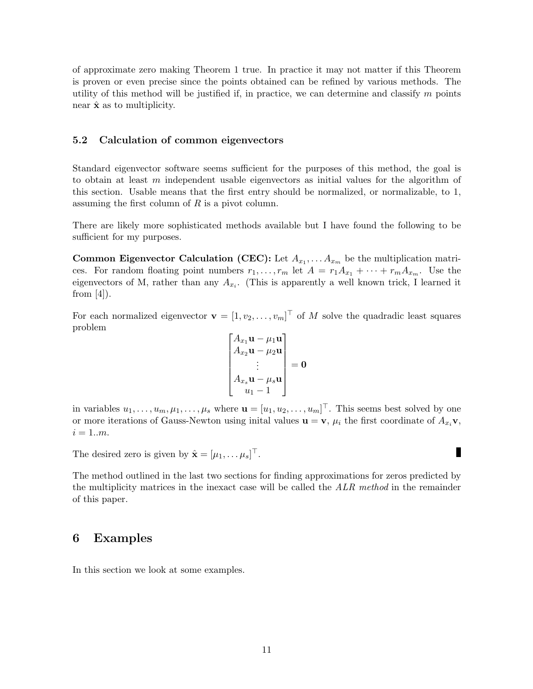of approximate zero making Theorem 1 true. In practice it may not matter if this Theorem is proven or even precise since the points obtained can be refined by various methods. The utility of this method will be justified if, in practice, we can determine and classify  $m$  points near  $\hat{\mathbf{x}}$  as to multiplicity.

#### 5.2 Calculation of common eigenvectors

Standard eigenvector software seems sufficient for the purposes of this method, the goal is to obtain at least m independent usable eigenvectors as initial values for the algorithm of this section. Usable means that the first entry should be normalized, or normalizable, to 1, assuming the first column of  $R$  is a pivot column.

There are likely more sophisticated methods available but I have found the following to be sufficient for my purposes.

**Common Eigenvector Calculation (CEC):** Let  $A_{x_1}, \ldots, A_{x_m}$  be the multiplication matrices. For random floating point numbers  $r_1, \ldots, r_m$  let  $A = r_1 A_{x_1} + \cdots + r_m A_{x_m}$ . Use the eigenvectors of M, rather than any  $A_{x_i}$ . (This is apparently a well known trick, I learned it from  $[4]$ ).

For each normalized eigenvector  $\mathbf{v} = [1, v_2, \dots, v_m]^\top$  of M solve the quadradic least squares problem

$$
\begin{bmatrix} A_{x_1}\mathbf{u} - \mu_1\mathbf{u} \\ A_{x_2}\mathbf{u} - \mu_2\mathbf{u} \\ \vdots \\ A_{x_s}\mathbf{u} - \mu_s\mathbf{u} \\ u_1 - 1 \end{bmatrix} = \mathbf{0}
$$

in variables  $u_1, \ldots, u_m, \mu_1, \ldots, \mu_s$  where  $\mathbf{u} = [u_1, u_2, \ldots, u_m]^\top$ . This seems best solved by one or more iterations of Gauss-Newton using initial values  $\mathbf{u} = \mathbf{v}$ ,  $\mu_i$  the first coordinate of  $A_{x_i}\mathbf{v}$ ,  $i = 1..m$ .

п

The desired zero is given by  $\hat{\mathbf{x}} = [\mu_1, \dots \mu_s]^\top$ .

The method outlined in the last two sections for finding approximations for zeros predicted by the multiplicity matrices in the inexact case will be called the ALR method in the remainder of this paper.

### 6 Examples

In this section we look at some examples.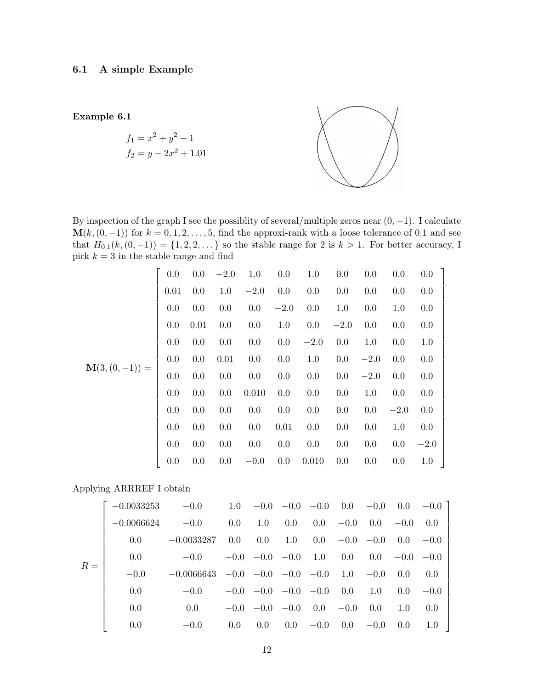Example 6.1  $f_1 = x^2 + y^2 - 1$  $f_2 = y - 2x^2 + 1.01$ 

By inspection of the graph I see the possiblity of several/multiple zeros near  $(0, -1)$ . I calculate  $\mathbf{M}(k,(0,-1))$  for  $k=0,1,2,\ldots,5$ , find the approxi-rank with a loose tolerance of 0.1 and see that  $H_{0,1}(k,(0,-1)) = \{1,2,2,\ldots\}$  so the stable range for 2 is  $k > 1$ . For better accuracy, I pick  $k = 3$  in the stable range and find

|                                 | $0.0\,$ |         | $0.0 -2.0$ | $1.0 \t 0.0$ |            | 1.0                                                                   | $0.0\,$  | $0.0\,$  | $0.0\,$ | $0.0$ ] |
|---------------------------------|---------|---------|------------|--------------|------------|-----------------------------------------------------------------------|----------|----------|---------|---------|
|                                 | 0.01    | 0.0     | 1.0        | $-2.0$       | $0.0\ 0.0$ |                                                                       | 0.0      | 0.0      | $0.0\,$ | $0.0\,$ |
|                                 | 0.0     | 0.0     | $0.0\,$    | 0.0          | $-2.0\,$   | 0.0                                                                   | 1.0      | 0.0      | $1.0\,$ | 0.0     |
|                                 | 0.0     | 0.01    | $0.0\,$    | 0.0          | 1.0        | 0.0                                                                   | $-2.0\,$ | 0.0      | $0.0\,$ | 0.0     |
|                                 | 0.0     | 0.0     | 0.0        | 0.0          | $0.0\,$    | $-2.0$                                                                | 0.0      | $1.0\,$  | $0.0\,$ | 1.0     |
|                                 | $0.0\,$ | 0.0     | 0.01       |              | $0.0$ 0.0  | 1.0                                                                   | $0.0\,$  | $-2.0\,$ | $0.0\,$ | 0.0     |
| $\mathbf{M}(3,(0,-1)) = \Bigg $ | $0.0\,$ | $0.0\,$ | $0.0\,$    | $0.0\,$      | 0.0        | $0.0\,$                                                               | $0.0\,$  | $-2.0$   | 0.0     | 0.0     |
|                                 | 0.0     | 0.0     | 0.0        | 0.010        | $0.0\,$    | 0.0                                                                   | 0.0      | 1.0      | $0.0\,$ | 0.0     |
|                                 | 0.0     | $0.0\,$ | $0.0\,$    | 0.0          | 0.0        | $0.0\,$                                                               | 0.0      | 0.0      | $-2.0$  | 0.0     |
|                                 | 0.0     | 0.0     | $0.0\,$    | $0.0\,$      | 0.01       | 0.0                                                                   | 0.0      | $0.0\,$  | $1.0\,$ | 0.0     |
|                                 | 0.0     | $0.0\,$ | $0.0\,$    | $0.0\,$      | $0.0\,$    | $0.0\,$                                                               | $0.0\,$  | $0.0\,$  | $0.0\,$ | $-2.0$  |
|                                 | 0.0     | $0.0\,$ | $0.0\,$    |              |            | $-0.0\phantom{0}\phantom{0}\phantom{0}0.0\phantom{0}\phantom{0}0.010$ | 0.0      | $0.0\,$  | 0.0     | 1.0     |

Applying ARRREF I obtain

|       | $-0.0033253$ | $-0.0$                                                |         |                             |         |                      |                             |         |                  | $1.0 -0.0 -0.0 -0.0 0.0 0.0 -0.0 0.0 -0.0$ |
|-------|--------------|-------------------------------------------------------|---------|-----------------------------|---------|----------------------|-----------------------------|---------|------------------|--------------------------------------------|
|       | $-0.0066624$ | $-0.0$                                                | $0.0\,$ | 1.0                         | $0.0\,$ | $0.0\phantom{0}-0.0$ |                             | $0.0\,$ | $-0.0 \quad 0.0$ |                                            |
|       | 0.0          | $-0.0033287$                                          | 0.0     | 0.0                         | $1.0\,$ |                      | $0.0 \quad -0.0 \quad -0.0$ |         | $0.0 - 0.0$      |                                            |
|       | 0.0          | $-0.0$                                                |         | $-0.0$ $-0.0$ $-0.0$ 1.0    |         |                      | 0.0                         |         | $0.0 -0.0 -0.0$  |                                            |
| $R =$ | $-0.0$       | $-0.0066643$ $-0.0$ $-0.0$ $-0.0$ $-0.0$ $1.0$ $-0.0$ |         |                             |         |                      |                             |         | 0.0              | 0.0                                        |
|       | 0.0          | $-0.0$                                                |         | $-0.0$ $-0.0$ $-0.0$ $-0.0$ |         |                      | $0.0\,$                     | 1.0     | 0.0 <sub>1</sub> | $-0.0$                                     |
|       | 0.0          | 0.0                                                   |         | $-0.0$ $-0.0$ $-0.0$        |         | $0.0 - 0.0$          |                             | 0.0     | 1.0              | 0.0                                        |
|       | 0.0          | $-0.0$                                                | 0.0     | $0.0^{\circ}$               | $0.0\,$ | $-0.0$               | 0.0                         | $-0.0$  | 0.0              | 1.0                                        |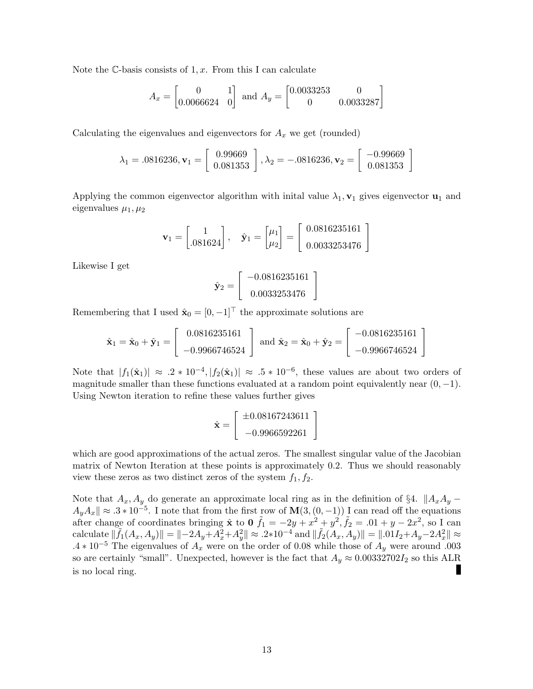Note the C-basis consists of  $1, x$ . From this I can calculate

$$
A_x = \begin{bmatrix} 0 & 1 \\ 0.0066624 & 0 \end{bmatrix} \text{ and } A_y = \begin{bmatrix} 0.0033253 & 0 \\ 0 & 0.0033287 \end{bmatrix}
$$

Calculating the eigenvalues and eigenvectors for  $A_x$  we get (rounded)

$$
\lambda_1 = .0816236, \mathbf{v}_1 = \left[ \begin{array}{c} 0.99669 \\ 0.081353 \end{array} \right], \lambda_2 = -.0816236, \mathbf{v}_2 = \left[ \begin{array}{c} -0.99669 \\ 0.081353 \end{array} \right]
$$

Applying the common eigenvector algorithm with initial value  $\lambda_1$ ,  $\mathbf{v}_1$  gives eigenvector  $\mathbf{u}_1$  and eigenvalues  $\mu_1, \mu_2$ 

$$
\mathbf{v}_1 = \begin{bmatrix} 1 \\ .081624 \end{bmatrix}, \quad \hat{\mathbf{y}}_1 = \begin{bmatrix} \mu_1 \\ \mu_2 \end{bmatrix} = \begin{bmatrix} 0.0816235161 \\ 0.0033253476 \end{bmatrix}
$$

Likewise I get

$$
\hat{\mathbf{y}}_2 = \left[ \begin{array}{c} -0.0816235161 \\ 0.0033253476 \end{array} \right]
$$

Remembering that I used  $\hat{\mathbf{x}}_0 = \begin{bmatrix} 0 \\ -1 \end{bmatrix}^\top$  the approximate solutions are

$$
\hat{\mathbf{x}}_1 = \hat{\mathbf{x}}_0 + \hat{\mathbf{y}}_1 = \begin{bmatrix} 0.0816235161 \\ -0.9966746524 \end{bmatrix} \text{ and } \hat{\mathbf{x}}_2 = \hat{\mathbf{x}}_0 + \hat{\mathbf{y}}_2 = \begin{bmatrix} -0.0816235161 \\ -0.9966746524 \end{bmatrix}
$$

Note that  $|f_1(\hat{\mathbf{x}}_1)| \approx .2 * 10^{-4}, |f_2(\hat{\mathbf{x}}_1)| \approx .5 * 10^{-6}$ , these values are about two orders of magnitude smaller than these functions evaluated at a random point equivalently near  $(0, -1)$ . Using Newton iteration to refine these values further gives

$$
\hat{\mathbf{x}} = \begin{bmatrix} \pm 0.08167243611 \\ -0.9966592261 \end{bmatrix}
$$

which are good approximations of the actual zeros. The smallest singular value of the Jacobian matrix of Newton Iteration at these points is approximately 0.2. Thus we should reasonably view these zeros as two distinct zeros of the system  $f_1, f_2$ .

Note that  $A_x, A_y$  do generate an approximate local ring as in the definition of §4.  $||A_xA_y A_yA_x \rVert \approx .3 * 10^{-5}$ . I note that from the first row of  $\mathbf{M}(3,(0,-1))$  I can read off the equations after change of coordinates bringing  $\hat{x}$  to  $0 \tilde{f}_1 = -2y + x^2 + y^2$ ,  $\tilde{f}_2 = .01 + y - 2x^2$ , so I can  $\text{calculate } \|\tilde{f}_1(A_x,A_y)\| = \| -2A_y+A_x^2+A_y^2 \| \approx .2*10^{-4} \text{ and } \|\tilde{f}_2(A_x,A_y)\| = \| .01I_2+A_y-2A_x^2 \| \approx .2*10^{-4} \text{ and } \|\tilde{f}_2(A_x,A_y)\| = \| .01I_2+A_y-2A_x^2 \| \approx .2*10^{-4} \text{ and } \|\tilde{f}_2(A_x,A_y)\| = \| .01I_2+A_y-2A_x^2 \| \approx .2*10^{-4} \text{ and } \|\tilde{f}_2(A_x,A_y)\| = \| .01I_2+A_y-2A_x^2 \| \approx$ .4  $\ast$  10<sup>-5</sup> The eigenvalues of  $A_x$  were on the order of 0.08 while those of  $A_y$  were around .003 so are certainly "small". Unexpected, however is the fact that  $A_y \approx 0.00332702I_2$  so this ALR is no local ring.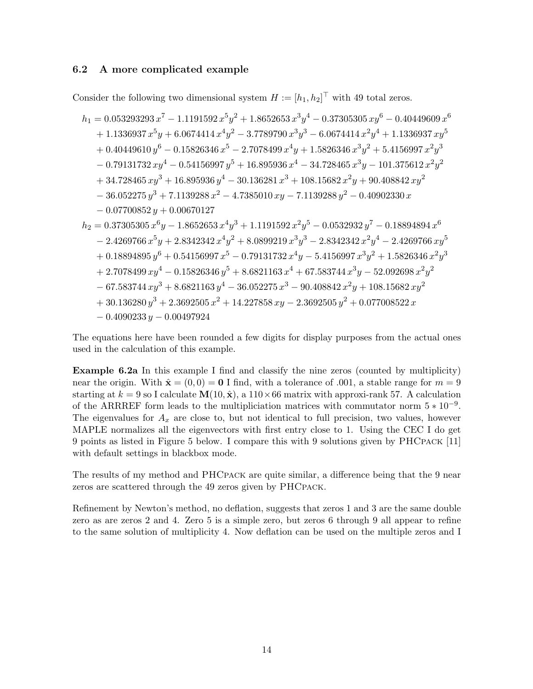#### 6.2 A more complicated example

Consider the following two dimensional system  $H := [h_1, h_2]^\top$  with 49 total zeros.

$$
h_1 = 0.053293293 x^7 - 1.1191592 x^5 y^2 + 1.8652653 x^3 y^4 - 0.37305305 x y^6 - 0.40449609 x^6
$$
  
+ 1.1336937 x<sup>5</sup>y + 6.0674414 x<sup>4</sup>y<sup>2</sup> - 3.7789790 x<sup>3</sup>y<sup>3</sup> - 6.0674414 x<sup>2</sup>y<sup>4</sup> + 1.1336937 xy<sup>5</sup>  
+ 0.40449610 y<sup>6</sup> - 0.15826346 x<sup>5</sup> - 2.7078499 x<sup>4</sup>y + 1.5826346 x<sup>3</sup>y<sup>2</sup> + 5.4156997 x<sup>2</sup>y<sup>3</sup>  
- 0.79131732 xy<sup>4</sup> - 0.54156997 y<sup>5</sup> + 16.895936 x<sup>4</sup> - 34.728465 x<sup>3</sup>y - 101.375612 x<sup>2</sup>y<sup>2</sup>  
+ 34.728465 xy<sup>3</sup> + 16.895936 y<sup>4</sup> - 30.136281 x<sup>3</sup> + 108.15682 x<sup>2</sup>y + 90.408842 xy<sup>2</sup>  
- 36.052275 y<sup>3</sup> + 7.1139288 x<sup>2</sup> - 4.7385010 xy - 7.1139288 y<sup>2</sup> - 0.40902330 x  
- 0.07700852 y + 0.00670127  

$$
h_2 = 0.37305305 x^6 y - 1.8652653 x^4 y^3 + 1.1191592 x^2 y^5 - 0.0532932 y^7 - 0.18894894 x^6
$$
  
- 2.4269766 x<sup>5</sup>y + 2.8342342 x<sup>4</sup>y<

The equations here have been rounded a few digits for display purposes from the actual ones used in the calculation of this example.

Example 6.2a In this example I find and classify the nine zeros (counted by multiplicity) near the origin. With  $\hat{\mathbf{x}} = (0, 0) = \mathbf{0}$  I find, with a tolerance of .001, a stable range for  $m = 9$ starting at  $k = 9$  so I calculate  $\mathbf{M}(10, \hat{\mathbf{x}})$ , a  $110 \times 66$  matrix with approxi-rank 57. A calculation of the ARRREF form leads to the multipliciation matrices with commutator norm  $5 * 10^{-9}$ . The eigenvalues for  $A_x$  are close to, but not identical to full precision, two values, however MAPLE normalizes all the eigenvectors with first entry close to 1. Using the CEC I do get 9 points as listed in Figure 5 below. I compare this with 9 solutions given by PHCpack [11] with default settings in blackbox mode.

The results of my method and PHCPACK are quite similar, a difference being that the 9 near zeros are scattered through the 49 zeros given by PHCpack.

Refinement by Newton's method, no deflation, suggests that zeros 1 and 3 are the same double zero as are zeros 2 and 4. Zero 5 is a simple zero, but zeros 6 through 9 all appear to refine to the same solution of multiplicity 4. Now deflation can be used on the multiple zeros and I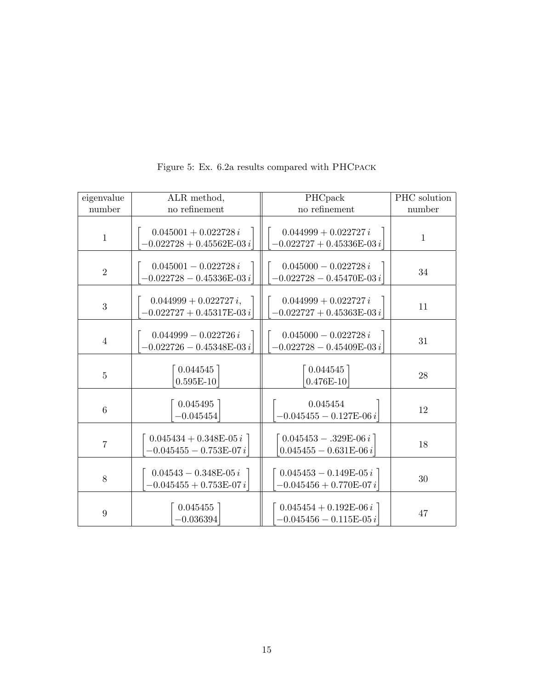| eigenvalue       | ALR method,                                                              | PHCpack                                                 | PHC solution |
|------------------|--------------------------------------------------------------------------|---------------------------------------------------------|--------------|
| number           | no refinement                                                            | no refinement                                           | number       |
| $\mathbf{1}$     | $0.045001 + 0.022728 i$<br>$-0.022728 + 0.45562E-03i$                    | $0.044999 + 0.022727 i$<br>$-0.022727 + 0.45336E - 03i$ | $\mathbf{1}$ |
| $\overline{2}$   | $0.045001 - 0.022728 i$<br>$-0.022728 - 0.45336\mathrm{E}\text{-}03\,i$  | $0.045000 - 0.022728 i$<br>$-0.022728 - 0.45470E-03i$   | 34           |
| 3                | $0.044999 + 0.022727 i,$<br>$-0.022727 + 0.45317\mathrm{E}\text{-}03\,i$ | $0.044999 + 0.022727 i$<br>$-0.022727 + 0.45363E-03i$   | 11           |
| $\overline{4}$   | $0.044999 - 0.022726 i$<br>$-0.022726 - 0.45348E-03i$                    | $0.045000 - 0.022728 i$<br>$-0.022728 - 0.45409E-03i$   | 31           |
| $\overline{5}$   | 0.044545<br>$0.595E-10$                                                  | 0.044545<br>$0.476E - 10$                               | 28           |
| $\,6\,$          | 0.045495<br>$-0.045454$                                                  | 0.045454<br>$-0.045455 - 0.127E-06i$                    | 12           |
| $\overline{7}$   | $0.045434 + 0.348E-05i$<br>$-0.045455 - 0.753E-07i$                      | $0.045453 - .329E-06 i$<br>$0.045455 - 0.631E-06i$      | 18           |
| 8                | $0.04543 - 0.348E - 05i$<br>$-0.045455 + 0.753E-07i$                     | $0.045453 - 0.149E-05i$<br>$-0.045456 + 0.770E-07i$     | 30           |
| $\boldsymbol{9}$ | 0.045455<br>$-0.036394$                                                  | $0.045454 + 0.192E-06i$<br>$-0.045456 - 0.115E-05i$     | 47           |

Figure 5: Ex. 6.2a results compared with PHCpack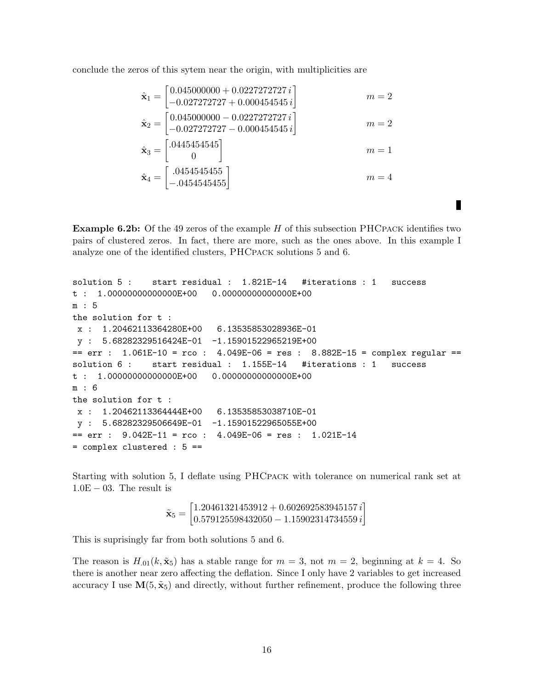conclude the zeros of this sytem near the origin, with multiplicities are

$$
\begin{aligned}\n\hat{\mathbf{x}}_1 &= \begin{bmatrix} 0.045000000 + 0.0227272727i \\ -0.027272727 + 0.000454545i \end{bmatrix} & m &= 2 \\
\hat{\mathbf{x}}_2 &= \begin{bmatrix} 0.045000000 - 0.0227272727i \\ -0.027272727 - 0.000454545i \end{bmatrix} & m &= 2 \\
\hat{\mathbf{x}}_3 &= \begin{bmatrix} .0445454545 \\ 0 \end{bmatrix} & m &= 1 \\
\hat{\mathbf{x}}_4 &= \begin{bmatrix} .0454545455 \\ -.0454545455 \end{bmatrix} & m &= 4\n\end{aligned}
$$

**Example 6.2b:** Of the 49 zeros of the example  $H$  of this subsection PHCPACK identifies two pairs of clustered zeros. In fact, there are more, such as the ones above. In this example I analyze one of the identified clusters, PHCpack solutions 5 and 6.

П

```
solution 5 : start residual : 1.821E-14 #iterations : 1 success
t : 1.00000000000000E+00 0.00000000000000E+00
m : 5
the solution for t :
x : 1.20462113364280E+00 6.13535853028936E-01
y : 5.68282329516424E-01 -1.15901522965219E+00
== err : 1.061E-10 = rco : 4.049E-06 = res : 8.882E-15 = complex regular ==solution 6 : start residual : 1.155E-14 #iterations : 1 success
t : 1.00000000000000E+00 0.00000000000000E+00
m : 6
the solution for t :
x : 1.20462113364444E+00 6.13535853038710E-01
y : 5.68282329506649E-01 -1.15901522965055E+00== err : 9.042E-11 = rco : 4.049E-06 = res : 1.021E-14= complex clustered : 5 ==
```
Starting with solution 5, I deflate using PHCpack with tolerance on numerical rank set at  $1.0E - 03$ . The result is

$$
\tilde{\mathbf{x}}_5 = \begin{bmatrix} 1.20461321453912 + 0.602692583945157 \, i \\ 0.579125598432050 - 1.15902314734559 \, i \end{bmatrix}
$$

This is suprisingly far from both solutions 5 and 6.

The reason is  $H_{.01}(k, \tilde{x}_5)$  has a stable range for  $m = 3$ , not  $m = 2$ , beginning at  $k = 4$ . So there is another near zero affecting the deflation. Since I only have 2 variables to get increased accuracy I use  $\mathbf{M}(5, \tilde{\mathbf{x}}_5)$  and directly, without further refinement, produce the following three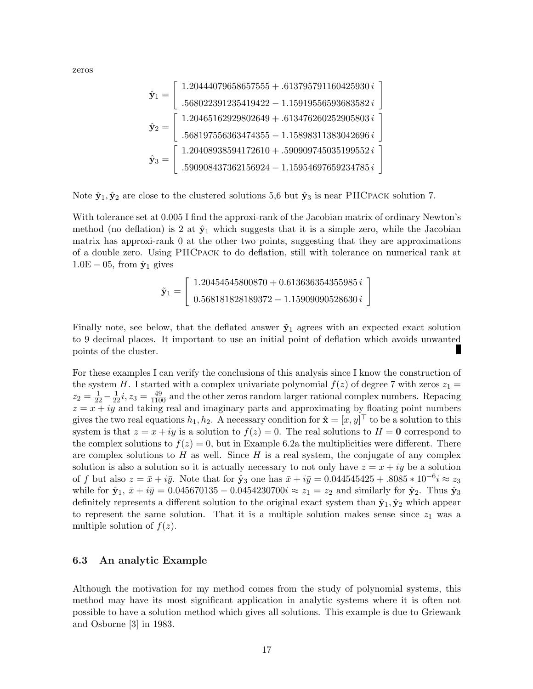zeros

$$
\hat{\mathbf{y}}_1 = \begin{bmatrix} 1.20444079658657555 + .613795791160425930 i \\ .568022391235419422 - 1.15919556593683582 i \\ .568197556363474355 - 1.15898311383042696 i \\ .568197556363474355 - 1.15898311383042696 i \\ .590908437362156924 - 1.15954697659234785 i \end{bmatrix}
$$

Note  $\hat{\mathbf{y}}_1, \hat{\mathbf{y}}_2$  are close to the clustered solutions 5,6 but  $\hat{\mathbf{y}}_3$  is near PHCpACK solution 7.

With tolerance set at 0.005 I find the approxi-rank of the Jacobian matrix of ordinary Newton's method (no deflation) is 2 at  $\hat{\mathbf{y}}_1$  which suggests that it is a simple zero, while the Jacobian matrix has approxi-rank 0 at the other two points, suggesting that they are approximations of a double zero. Using PHCpack to do deflation, still with tolerance on numerical rank at  $1.0E - 05$ , from  $\hat{y}_1$  gives

$$
\tilde{\mathbf{y}}_1 = \left[ \begin{array}{c} 1.20454545800870 + 0.613636354355985 i \\ 0.568181828189372 - 1.15909090528630 i \end{array} \right]
$$

Finally note, see below, that the deflated answer  $\tilde{y}_1$  agrees with an expected exact solution to 9 decimal places. It important to use an initial point of deflation which avoids unwanted points of the cluster.

For these examples I can verify the conclusions of this analysis since I know the construction of the system H. I started with a complex univariate polynomial  $f(z)$  of degree 7 with zeros  $z_1 =$  $z_2 = \frac{1}{22} - \frac{1}{22}i$ ,  $z_3 = \frac{49}{1100}$  and the other zeros random larger rational complex numbers. Repacing  $z = x + iy$  and taking real and imaginary parts and approximating by floating point numbers gives the two real equations  $h_1, h_2$ . A necessary condition for  $\hat{\mathbf{x}} = [x, y]^\top$  to be a solution to this system is that  $z = x + iy$  is a solution to  $f(z) = 0$ . The real solutions to  $H = 0$  correspond to the complex solutions to  $f(z) = 0$ , but in Example 6.2a the multiplicities were different. There are complex solutions to  $H$  as well. Since  $H$  is a real system, the conjugate of any complex solution is also a solution so it is actually necessary to not only have  $z = x + iy$  be a solution of f but also  $z = \bar{x} + i\bar{y}$ . Note that for  $\hat{\mathbf{y}}_3$  one has  $\bar{x} + i\bar{y} = 0.044545425 + .8085 * 10^{-6} i \approx z_3$ while for  $\hat{\mathbf{y}}_1$ ,  $\bar{x} + i\bar{y} = 0.045670135 - 0.0454230700i \approx z_1 = z_2$  and similarly for  $\hat{\mathbf{y}}_2$ . Thus  $\hat{\mathbf{y}}_3$ definitely represents a different solution to the original exact system than  $\hat{y}_1, \hat{y}_2$  which appear to represent the same solution. That it is a multiple solution makes sense since  $z_1$  was a multiple solution of  $f(z)$ .

#### 6.3 An analytic Example

Although the motivation for my method comes from the study of polynomial systems, this method may have its most significant application in analytic systems where it is often not possible to have a solution method which gives all solutions. This example is due to Griewank and Osborne [3] in 1983.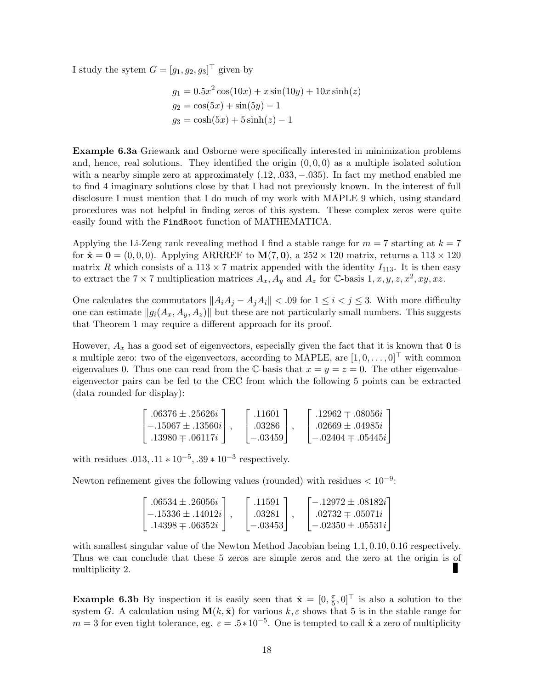I study the sytem  $G = [g_1, g_2, g_3]^\top$  given by

$$
g_1 = 0.5x^2 \cos(10x) + x \sin(10y) + 10x \sinh(z)
$$
  
\n
$$
g_2 = \cos(5x) + \sin(5y) - 1
$$
  
\n
$$
g_3 = \cosh(5x) + 5 \sinh(z) - 1
$$

Example 6.3a Griewank and Osborne were specifically interested in minimization problems and, hence, real solutions. They identified the origin  $(0, 0, 0)$  as a multiple isolated solution with a nearby simple zero at approximately  $(.12, .033, -.035)$ . In fact my method enabled me to find 4 imaginary solutions close by that I had not previously known. In the interest of full disclosure I must mention that I do much of my work with MAPLE 9 which, using standard procedures was not helpful in finding zeros of this system. These complex zeros were quite easily found with the FindRoot function of MATHEMATICA.

Applying the Li-Zeng rank revealing method I find a stable range for  $m = 7$  starting at  $k = 7$ for  $\hat{\mathbf{x}} = \mathbf{0} = (0, 0, 0)$ . Applying ARRREF to  $\mathbf{M}(7, 0)$ , a  $252 \times 120$  matrix, returns a  $113 \times 120$ matrix R which consists of a 113  $\times$  7 matrix appended with the identity  $I_{113}$ . It is then easy to extract the  $7 \times 7$  multiplication matrices  $A_x$ ,  $A_y$  and  $A_z$  for C-basis 1, x, y, z,  $x^2$ , xy, xz.

One calculates the commutators  $||A_iA_j - A_jA_i|| < .09$  for  $1 \le i < j \le 3$ . With more difficulty one can estimate  $||g_i(A_x, A_y, A_z)||$  but these are not particularly small numbers. This suggests that Theorem 1 may require a different approach for its proof.

However,  $A_x$  has a good set of eigenvectors, especially given the fact that it is known that 0 is a multiple zero: two of the eigenvectors, according to MAPLE, are  $[1, 0, \ldots, 0]^\top$  with common eigenvalues 0. Thus one can read from the C-basis that  $x = y = z = 0$ . The other eigenvalueeigenvector pairs can be fed to the CEC from which the following 5 points can be extracted (data rounded for display):

$$
\begin{bmatrix} .06376 \pm .25626i \\ -.15067 \pm .13560i \\ .13980 \mp .06117i \end{bmatrix}, \begin{bmatrix} .11601 \\ .03286 \\ -.03459 \end{bmatrix}, \begin{bmatrix} .12962 \mp .08056i \\ .02669 \pm .04985i \\ -.02404 \mp .05445i \end{bmatrix}
$$

with residues  $.013, .11 * 10^{-5}, .39 * 10^{-3}$  respectively.

Newton refinement gives the following values (rounded) with residues  $< 10^{-9}$ :

| $0.06534 \pm 0.26056i$ | .11591    | $-.12972\pm.08182i$ !   |
|------------------------|-----------|-------------------------|
| $-15336 \pm 14012i$    | .03281    | $.02732 \pm .05071i$    |
| $.14398 \pm .06352i$   | $-.03453$ | $-0.02350 \pm 0.05531i$ |

with smallest singular value of the Newton Method Jacobian being 1.1, 0.10, 0.16 respectively. Thus we can conclude that these 5 zeros are simple zeros and the zero at the origin is of н multiplicity 2.

**Example 6.3b** By inspection it is easily seen that  $\hat{\mathbf{x}} = \begin{bmatrix} 0, \frac{\pi}{5} \end{bmatrix}$  $(\frac{\pi}{5}, 0]^\top$  is also a solution to the system G. A calculation using  $\mathbf{M}(k, \hat{\mathbf{x}})$  for various  $k, \varepsilon$  shows that 5 is in the stable range for  $m = 3$  for even tight tolerance, eg.  $\varepsilon = .5 * 10^{-5}$ . One is tempted to call  $\hat{\mathbf{x}}$  a zero of multiplicity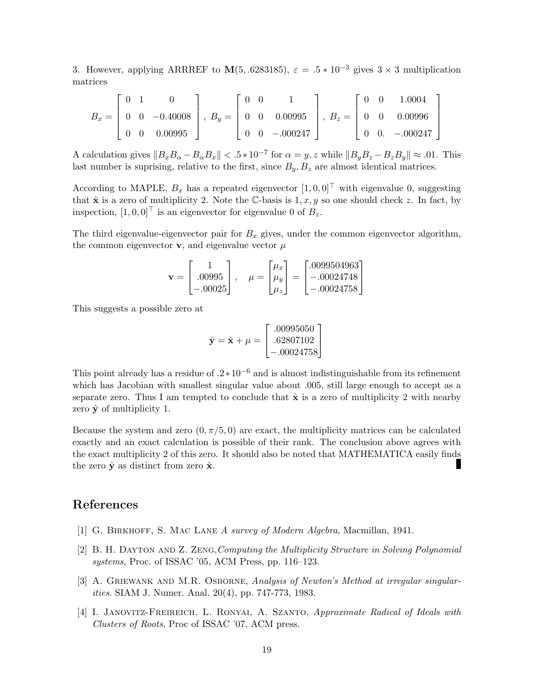3. However, applying ARRREF to  $\mathbf{M}(5, .6283185)$ ,  $\varepsilon = .5 * 10^{-3}$  gives  $3 \times 3$  multiplication matrices

$$
B_x = \begin{bmatrix} 0 & 1 & 0 \\ 0 & 0 & -0.40008 \\ 0 & 0 & 0.00995 \end{bmatrix}, B_y = \begin{bmatrix} 0 & 0 & 1 \\ 0 & 0 & 0.00995 \\ 0 & 0 & -000247 \end{bmatrix}, B_z = \begin{bmatrix} 0 & 0 & 1.0004 \\ 0 & 0 & 0.00996 \\ 0 & 0 & -000247 \end{bmatrix}
$$

A calculation gives  $||B_xB_\alpha - B_\alpha B_x|| < 0.5 * 10^{-7}$  for  $\alpha = y, z$  while  $||B_yB_z - B_zB_y|| \approx .01$ . This last number is suprising, relative to the first, since  $B_y, B_z$  are almost identical matrices.

According to MAPLE,  $B_x$  has a repeated eigenvector  $[1, 0, 0]^\top$  with eigenvalue 0, suggesting that  $\hat{\mathbf{x}}$  is a zero of multiplicity 2. Note the C-basis is  $1, x, y$  so one should check z. In fact, by inspection,  $[1, 0, 0]^\top$  is an eigenvector for eigenvalue 0 of  $B_z$ .

The third eigenvalue-eigenvector pair for  $B_x$  gives, under the common eigenvector algorithm, the common eigenvector  $\bf{v}$ , and eigenvalue vector  $\mu$ 

$$
\mathbf{v} = \begin{bmatrix} 1 \\ .00995 \\ -.00025 \end{bmatrix}, \quad \mu = \begin{bmatrix} \mu_x \\ \mu_y \\ \mu_z \end{bmatrix} = \begin{bmatrix} .0099504963 \\ -.00024748 \\ -.00024758 \end{bmatrix}
$$

This suggests a possible zero at

$$
\hat{\mathbf{y}} = \hat{\mathbf{x}} + \mu = \begin{bmatrix} .00995050 \\ .62807102 \\ -.00024758 \end{bmatrix}
$$

This point already has a residue of  $.2*10^{-6}$  and is almost indistinguishable from its refinement which has Jacobian with smallest singular value about .005, still large enough to accept as a separate zero. Thus I am tempted to conclude that  $\hat{\mathbf{x}}$  is a zero of multiplicity 2 with nearby zero  $\hat{\mathbf{v}}$  of multiplicity 1.

Because the system and zero  $(0, \pi/5, 0)$  are exact, the multiplicity matrices can be calculated exactly and an exact calculation is possible of their rank. The conclusion above agrees with the exact multiplicity 2 of this zero. It should also be noted that MATHEMATICA easily finds the zero  $\hat{\mathbf{y}}$  as distinct from zero  $\hat{\mathbf{x}}$ .

### References

- [1] G. Birkhoff, S. Mac Lane A survey of Modern Algebra, Macmillan, 1941.
- [2] B. H. Dayton and Z. Zeng,Computing the Multiplicity Structure in Solving Polynomial systems, Proc. of ISSAC '05, ACM Press, pp. 116–123.
- [3] A. GRIEWANK AND M.R. OSBORNE, Analysis of Newton's Method at irregular singularities. SIAM J. Numer. Anal. 20(4), pp. 747-773, 1983.
- [4] I. JANOVITZ-FREIREICH, L. RONYAI, A. SZANTO, Approximate Radical of Ideals with Clusters of Roots, Proc of ISSAC '07, ACM press.